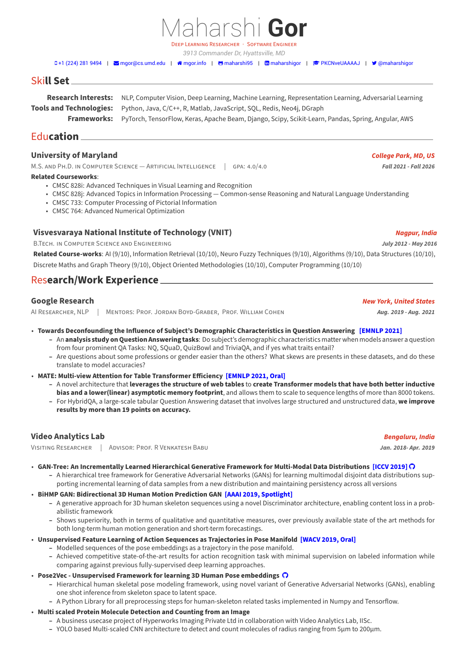### DEEP LEARNiNG RESEARCHER · SOFTWARE ENGiNEER *3913 Commander Dr, Hyattsville, MD*

0[+1 \(224\) 281 9494](tel:+1 (224) 281 9494) | Mgor@cs.umd.edu | Mgor.info | Mg[maharshi95](https://github.com/maharshi95) | Mg[maharshigor](https://www.linkedin.com/in/maharshigor) | [PKCNveUAAAAJ](https://scholar.google.com/citations?user=PKCNveUAAAAJ) | V [@maharshigor](https://twitter.com/@maharshigor)

Maharshi **Gor**

# Ski**ll Set**

**Research Interests:** NLP, Computer Vision, Deep Learning, Machine Learning, Representation Learning, Adversarial Learning **Tools and Technologies:** Python, Java, C/C++, R, Matlab, JavaScript, SQL, Redis, Neo4j, DGraph **Frameworks:** PyTorch, TensorFlow, Keras, Apache Beam, Django, Scipy, Scikit‑Learn, Pandas, Spring, Angular, AWS

Edu**cation**

### **University of Maryland** *College Park, MD, US*

M.S. AND PH.D. IN COMPUTER SCIENCE — ARTIFICIAL INTELLIGENCE | GPA: 4.0/4.0 *Fall 2021 · Fall 2021 · Fall 2026* 

#### **Related Courseworks**:

- CMSC 828i: Advanced Techniques in Visual Learning and Recognition
- CMSC 828j: Advanced Topics in Information Processing Common-sense Reasoning and Natural Language Understanding
- CMSC 733: Computer Processing of Pictorial Information
- CMSC 764: Advanced Numerical Optimization

## **Visvesvaraya National Institute of Technology (VNIT)** *Nagpur, India*

B.TECH. iN COMPUTER SCiENCE AND ENGiNEERiNG *July 2012 ‑ May 2016*

**Related Course‑works**: AI (9/10), Information Retrieval (10/10), Neuro Fuzzy Techniques (9/10), Algorithms (9/10), Data Structures (10/10), Discrete Maths and Graph Theory (9/10), Object Oriented Methodologies (10/10), Computer Programming (10/10)

## Res**earch/Work Experience**

### **Google Research** *New York, United States*

AI RESEARCHER, NLP | MENTORS: PROF. JORDAN BOYD‑GRABER, PROF. WiLLiAM COHEN *Aug. 2019 ‑ Aug. 2021*

- **Towards Deconfounding the Influence of Subject's Demographic Characteristics in Question Answering [\[EMNLP 2021\]](https://arxiv.org/abs/2104.07571)**
	- **–** An **analysis study on Question Answering tasks**: Do subject's demographic characteristics matter when models answer a question from four prominent QA Tasks: NQ, SQuaD, QuizBowl and TriviaQA, and if yes what traits entail?
	- **–** Are questions about some professions or gender easier than the others? What skews are presents in these datasets, and do these translate to model accuracies?
- **MATE: Multi‑view Attention for Table Transformer Efficiency [\[EMNLP 2021, Oral\]](https://arxiv.org/abs/2109.04312)**
	- **–** A novel architecture that **leverages the structure of web tables** to **create Transformer models that have both better inductive bias and a lower(linear) asymptotic memory footprint**, and allows them to scale to sequence lengths of more than 8000 tokens.
	- **–** For HybridQA, a large‑scale tabular Question Answering dataset that involves large structured and unstructured data, **we improve results by more than 19 points on accuracy.**

### **Video Analytics Lab** *Bengaluru, India*

ViSiTiNG RESEARCHER | ADViSOR: PROF. R VENKATESH BABU *Jan. 2018‑ Apr. 2019*

- **GAN‑Tree: An Incrementally Learned Hierarchical Generative Framework for Multi‑Modal Data Distributions [\[ICCV 2019\]](https://openaccess.thecvf.com/content_ICCV_2019/papers/Kundu_GAN-Tree_An_Incrementally_Learned_Hierarchical_Generative_Framework_for_Multi-Modal_Data_ICCV_2019_paper.pdf)**
	- **–** A hierarchical tree framework for Generative Adversarial Networks (GANs) for learning multimodal disjoint data distributions sup‑ porting incremental learning of data samples from a new distribution and maintaining persistency across all versions
- **BiHMP GAN: Bidirectional 3D Human Motion Prediction GAN [\[AAAI 2019, Spotlight\]](https://ojs.aaai.org//index.php/AAAI/article/view/4874)**
	- **–** A generative approach for 3D human skeleton sequences using a novel Discriminator architecture, enabling content loss in a prob‑ abilistic framework
		- **–** Shows superiority, both in terms of qualitative and quantitative measures, over previously available state of the art methods for both long-term human motion generation and short-term forecastings.
- **Unsupervised Feature Learning of Action Sequences as Trajectories in Pose Manifold [\[WACV 2019, Oral\]](https://ieeexplore.ieee.org/document/8658966)**
	- **–** Modelled sequences of the pose embeddings as a trajectory in the pose manifold.
	- **–** Achieved competitive state‑of‑the‑art results for action recognition task with minimal supervision on labeled information while comparing against previous fully‑supervised deep learning approaches.
- **Pose2Vec ‑ Unsupervised Framework for learning 3D Human Pose embeddings**
	- **–** Hierarchical human skeletal pose modeling framework, using novel variant of Generative Adversarial Networks (GANs), enabling one shot inference from skeleton space to latent space.
	- **–** A Python Library for all preprocessing steps for human‑skeleton related tasks implemented in Numpy and Tensorflow.
- **Multi scaled Protein Molecule Detection and Counting from an Image**
	- **–** A business usecase project of Hyperworks Imaging Private Ltd in collaboration with Video Analytics Lab, IISc.
	- **–** YOLO based Multi‑scaled CNN architecture to detect and count molecules of radius ranging from 5μm to 200μm.